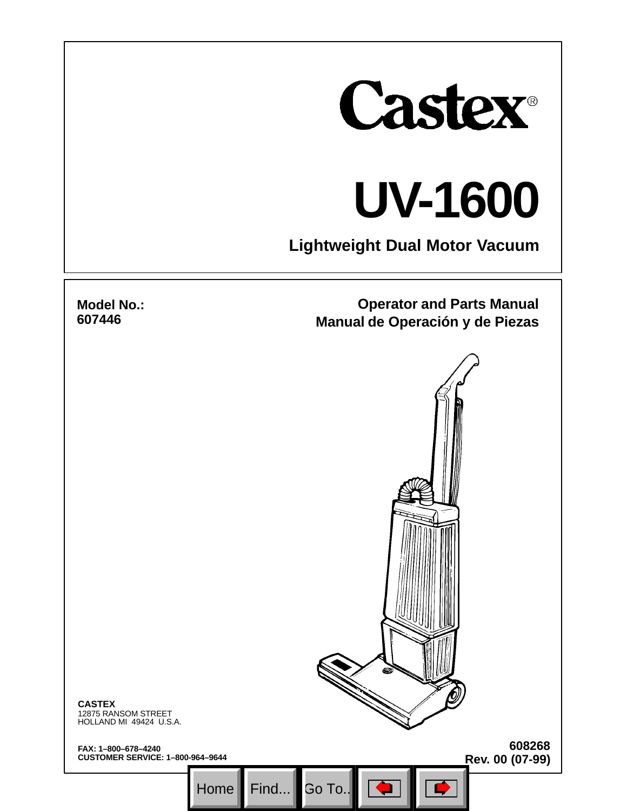

# **UV-1600**

**Lightweight Dual Motor Vacuum**

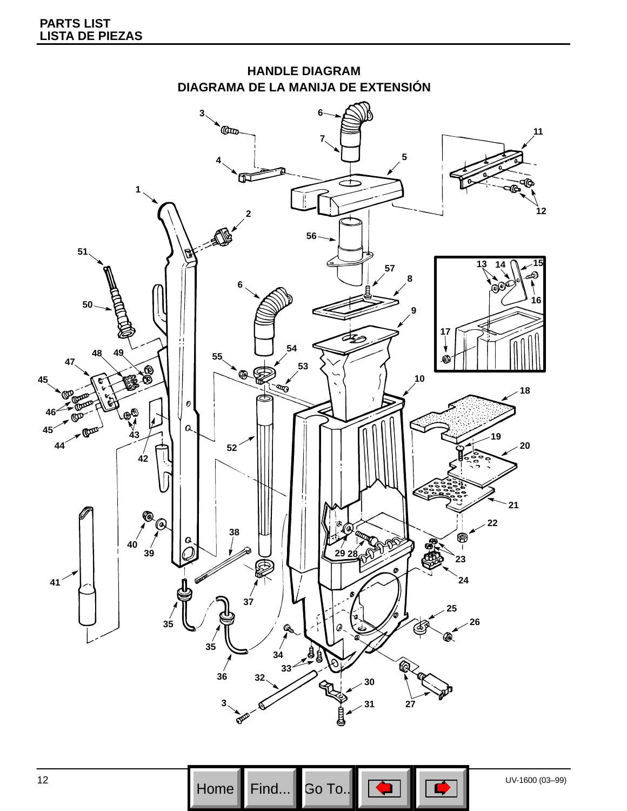



12 UV-1600 (03–99)<br>
Home Find... Go To...  $\boxed{\bigoplus}$ Go To..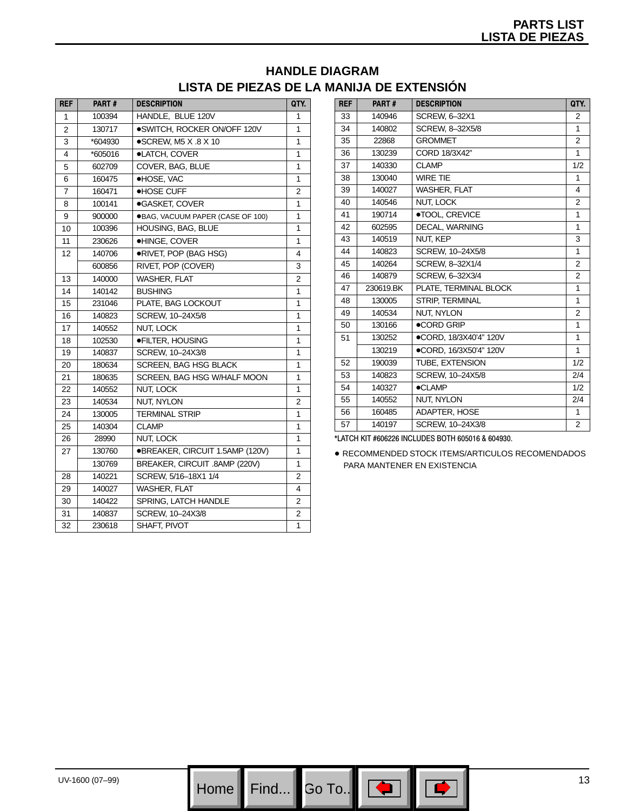## **HANDLE DIAGRAM LISTA DE PIEZAS DE LA MANIJA DE EXTENSIÓN**

| <b>REF</b>     | PART#   | <b>DESCRIPTION</b>               | QTY.           |
|----------------|---------|----------------------------------|----------------|
| 1              | 100394  | HANDLE, BLUE 120V                | 1              |
| $\overline{2}$ | 130717  | ·SWITCH, ROCKER ON/OFF 120V      | 1              |
| 3              | *604930 | $\bullet$ SCREW, M5 X .8 X 10    | 1              |
| 4              | *605016 | ·LATCH, COVER                    | 1              |
| 5              | 602709  | COVER, BAG, BLUE                 | 1              |
| 6              | 160475  | ·HOSE, VAC                       | 1              |
| 7              | 160471  | <b>.HOSE CUFF</b>                | $\overline{2}$ |
| 8              | 100141  | ●GASKET, COVER                   | 1              |
| 9              | 900000  | ●BAG, VACUUM PAPER (CASE OF 100) | 1              |
| 10             | 100396  | HOUSING, BAG, BLUE               | 1              |
| 11             | 230626  | ·HINGE, COVER                    | 1              |
| 12             | 140706  | ●RIVET, POP (BAG HSG)            | 4              |
|                | 600856  | RIVET, POP (COVER)               | 3              |
| 13             | 140000  | <b>WASHER, FLAT</b>              | 2              |
| 14             | 140142  | <b>BUSHING</b>                   | 1              |
| 15             | 231046  | PLATE, BAG LOCKOUT               | 1              |
| 16             | 140823  | SCREW, 10-24X5/8                 | 1              |
| 17             | 140552  | NUT, LOCK                        | 1              |
| 18             | 102530  | <b>•FILTER. HOUSING</b>          | 1              |
| 19             | 140837  | SCREW, 10-24X3/8                 | 1              |
| 20             | 180634  | SCREEN, BAG HSG BLACK            | 1              |
| 21             | 180635  | SCREEN, BAG HSG W/HALF MOON      | 1              |
| 22             | 140552  | NUT, LOCK                        | 1              |
| 23             | 140534  | NUT, NYLON                       | $\overline{2}$ |
| 24             | 130005  | <b>TERMINAL STRIP</b>            | 1              |
| 25             | 140304  | <b>CLAMP</b>                     | 1              |
| 26             | 28990   | NUT, LOCK                        | 1              |
| 27             | 130760  | ●BREAKER, CIRCUIT 1.5AMP (120V)  | 1              |
|                | 130769  | BREAKER, CIRCUIT .8AMP (220V)    | 1              |
| 28             | 140221  | SCREW, 5/16-18X1 1/4             | 2              |
| 29             | 140027  | <b>WASHER, FLAT</b>              | 4              |
| 30             | 140422  | SPRING, LATCH HANDLE             | $\overline{2}$ |
| 31             | 140837  | SCREW, 10-24X3/8                 | 2              |
| 32             | 230618  | SHAFT, PIVOT                     | 1              |

| <b>REF</b> | PART#     | <b>DESCRIPTION</b>     | QTY.           |
|------------|-----------|------------------------|----------------|
| 33         | 140946    | SCREW, 6-32X1          | 2              |
| 34         | 140802    | SCREW, 8-32X5/8        | 1              |
| 35         | 22868     | <b>GROMMET</b>         | $\overline{2}$ |
| 36         | 130239    | CORD 18/3X42"          | 1              |
| 37         | 140330    | <b>CLAMP</b>           | 1/2            |
| 38         | 130040    | <b>WIRE TIE</b>        | 1              |
| 39         | 140027    | <b>WASHER, FLAT</b>    | 4              |
| 40         | 140546    | NUT, LOCK              | 2              |
| 41         | 190714    | ·TOOL, CREVICE         | 1              |
| 42         | 602595    | DECAL, WARNING         | 1              |
| 43         | 140519    | <b>NUT. KEP</b>        | 3              |
| 44         | 140823    | SCREW, 10-24X5/8       | 1              |
| 45         | 140264    | SCREW, 8-32X1/4        | $\overline{2}$ |
| 46         | 140879    | SCREW. 6-32X3/4        | 2              |
| 47         | 230619.BK | PLATE. TERMINAL BLOCK  | 1              |
| 48         | 130005    | STRIP, TERMINAL        | 1              |
| 49         | 140534    | <b>NUT. NYLON</b>      | $\overline{2}$ |
| 50         | 130166    | ●CORD GRIP             | 1              |
| 51         | 130252    | ·CORD, 18/3X40'4" 120V | 1              |
|            | 130219    | ●CORD, 16/3X50'4" 120V | 1              |
| 52         | 190039    | <b>TUBE. EXTENSION</b> | 1/2            |
| 53         | 140823    | SCREW. 10-24X5/8       | 2/4            |
| 54         | 140327    | <b>•CLAMP</b>          | 1/2            |
| 55         | 140552    | NUT, NYLON             | 2/4            |
| 56         | 160485    | ADAPTER, HOSE          | 1              |
| 57         | 140197    | SCREW, 10-24X3/8       | 2              |

\*LATCH KIT #606226 INCLUDES BOTH 605016 & 604930.

 RECOMMENDED STOCK ITEMS/ARTICULOS RECOMENDADOS PARA MANTENER EN EXISTENCIA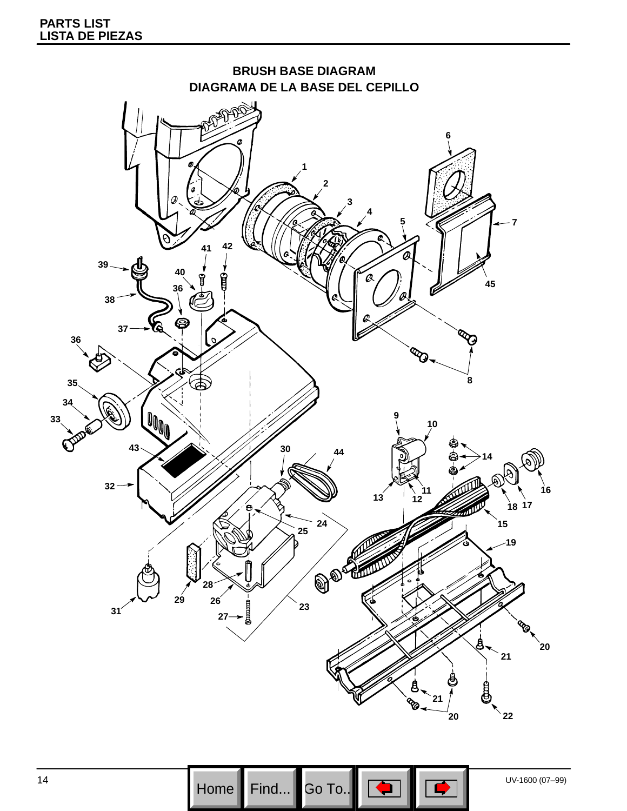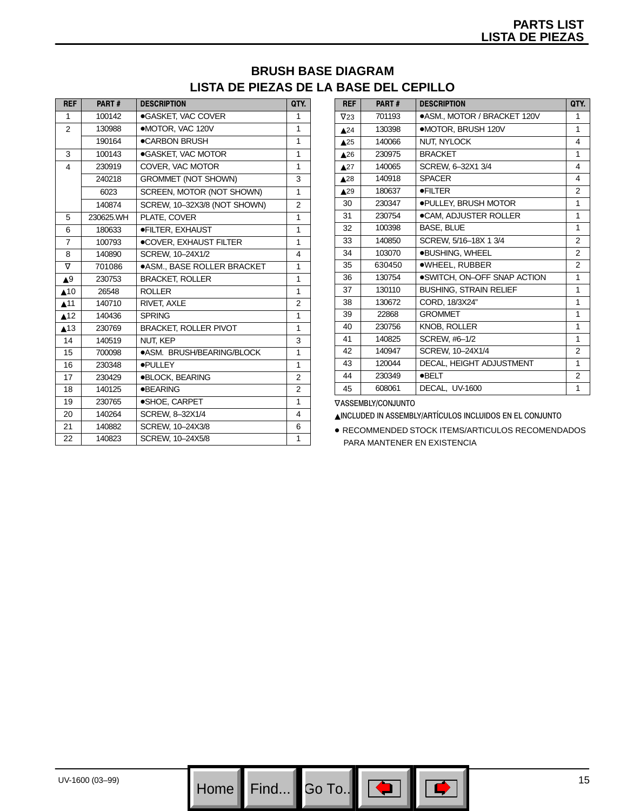### **BRUSH BASE DIAGRAM LISTA DE PIEZAS DE LA BASE DEL CEPILLO**

| <b>REF</b>                     | PART#     | <b>DESCRIPTION</b>                | QTY.           |
|--------------------------------|-----------|-----------------------------------|----------------|
| 1                              | 100142    | ●GASKET, VAC COVER                | 1              |
| 2                              | 130988    | •MOTOR, VAC 120V                  | 1              |
|                                | 190164    | ●CARBON BRUSH                     | 1              |
| 3                              | 100143    | ·GASKET, VAC MOTOR                | 1              |
| 4                              | 230919    | COVER, VAC MOTOR                  | 1              |
|                                | 240218    | <b>GROMMET (NOT SHOWN)</b>        | 3              |
|                                | 6023      | SCREEN, MOTOR (NOT SHOWN)         | 1              |
|                                | 140874    | SCREW, 10-32X3/8 (NOT SHOWN)      | 2              |
| 5                              | 230625.WH | PLATE, COVER                      | 1              |
| 6                              | 180633    | <b>•FILTER, EXHAUST</b>           | 1              |
| $\overline{7}$                 | 100793    | ●COVER, EXHAUST FILTER            | 1              |
| 8                              | 140890    | SCREW, 10-24X1/2                  | 4              |
| $\nabla$                       | 701086    | <b>.ASM., BASE ROLLER BRACKET</b> | 1              |
| $\blacktriangle^9$             | 230753    | <b>BRACKET, ROLLER</b>            | 1              |
| $\triangle$ 10                 | 26548     | <b>ROLLER</b>                     | 1              |
| $\blacktriangle$ <sup>11</sup> | 140710    | RIVET, AXLE                       | 2              |
| $\blacktriangle$ 12            | 140436    | <b>SPRING</b>                     | 1              |
| $\blacktriangle$ 13            | 230769    | <b>BRACKET, ROLLER PIVOT</b>      | 1              |
| 14                             | 140519    | NUT. KEP                          | 3              |
| 15                             | 700098    | ●ASM. BRUSH/BEARING/BLOCK         | 1              |
| 16                             | 230348    | ·PULLEY                           | 1              |
| 17                             | 230429    | <b>.BLOCK, BEARING</b>            | 2              |
| 18                             | 140125    | <b>•BEARING</b>                   | $\overline{2}$ |
| 19                             | 230765    | ·SHOE, CARPET                     | 1              |
| 20                             | 140264    | SCREW, 8-32X1/4                   | 4              |
| 21                             | 140882    | SCREW, 10-24X3/8                  | 6              |
| 22                             | 140823    | SCREW, 10-24X5/8                  | 1              |

| <b>REF</b>                     | PART#  | <b>DESCRIPTION</b>            | QTY.           |
|--------------------------------|--------|-------------------------------|----------------|
| $\nabla$ 23                    | 701193 | ●ASM., MOTOR / BRACKET 120V   | 1              |
| $\triangle$ <sup>24</sup>      | 130398 | •MOTOR. BRUSH 120V            | 1              |
| $\triangle$ <sup>25</sup>      | 140066 | <b>NUT. NYLOCK</b>            | 4              |
| $\triangle$ <sup>26</sup>      | 230975 | <b>BRACKET</b>                | 1              |
| $\triangle 27$                 | 140065 | SCREW, 6-32X1 3/4             | 4              |
| $\blacktriangle$ <sup>28</sup> | 140918 | <b>SPACER</b>                 | 4              |
| $\blacktriangle$ <sup>29</sup> | 180637 | <b>•FILTER</b>                | 2              |
| 30                             | 230347 | <b>.PULLEY, BRUSH MOTOR</b>   | 1              |
| 31                             | 230754 | ●CAM, ADJUSTER ROLLER         | 1              |
| 32                             | 100398 | BASE, BLUE                    | 1              |
| 33                             | 140850 | SCREW. 5/16-18X 1 3/4         | 2              |
| 34                             | 103070 | <b>.BUSHING, WHEEL</b>        | $\overline{2}$ |
| 35                             | 630450 | ·WHEEL, RUBBER                | $\overline{2}$ |
| 36                             | 130754 | . SWITCH, ON-OFF SNAP ACTION  | 1              |
| 37                             | 130110 | <b>BUSHING, STRAIN RELIEF</b> | 1              |
| 38                             | 130672 | CORD, 18/3X24"                | 1              |
| 39                             | 22868  | <b>GROMMET</b>                | 1              |
| 40                             | 230756 | <b>KNOB, ROLLER</b>           | 1              |
| 41                             | 140825 | SCREW, #6-1/2                 | 1              |
| 42                             | 140947 | SCREW, 10-24X1/4              | $\overline{2}$ |
| 43                             | 120044 | DECAL, HEIGHT ADJUSTMENT      | 1              |
| 44                             | 230349 | <b>OBELT</b>                  | 2              |
| 45                             | 608061 | DECAL, UV-1600                | 1              |

∇ASSEMBLY/CONJUNTO

INCLUDED IN ASSEMBLY/ARTÍCULOS INCLUIDOS EN EL CONJUNTO

 RECOMMENDED STOCK ITEMS/ARTICULOS RECOMENDADOS PARA MANTENER EN EXISTENCIA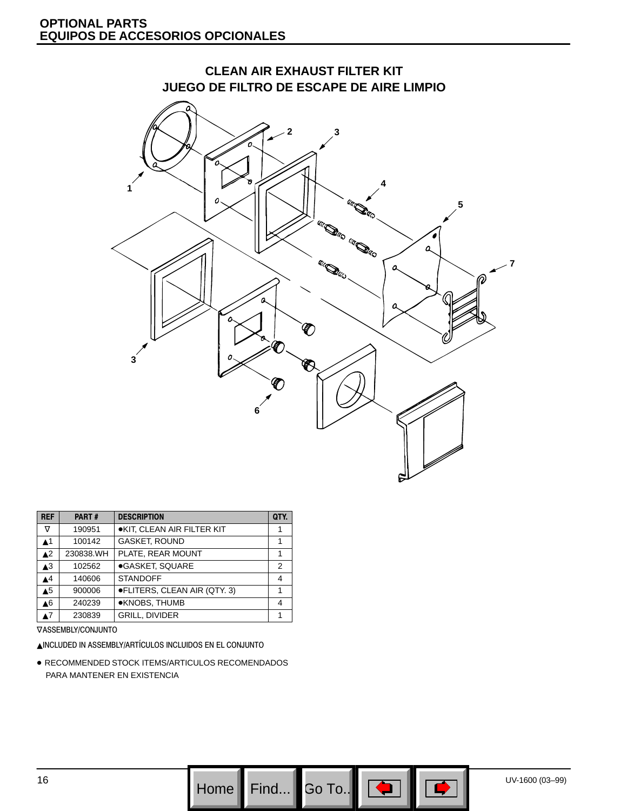

| <b>REF</b>               | PART#     | <b>DESCRIPTION</b>                | QTY. |
|--------------------------|-----------|-----------------------------------|------|
| $\rm \nabla$             | 190951    | <b>.KIT, CLEAN AIR FILTER KIT</b> | 1    |
| $\blacktriangle$ 1       | 100142    | <b>GASKET, ROUND</b>              | 1    |
| $\blacktriangle^2$       | 230838.WH | PLATE. REAR MOUNT                 | 1    |
| $\triangle$ <sup>3</sup> | 102562    | ●GASKET, SQUARE                   | 2    |
| $\blacktriangle$ 4       | 140606    | <b>STANDOFF</b>                   | 4    |
| $\triangle$ <sup>5</sup> | 900006    | ●FLITERS, CLEAN AIR (QTY. 3)      |      |
| $\blacktriangle 6$       | 240239    | ●KNOBS, THUMB                     | 4    |
| ▲7                       | 230839    | <b>GRILL, DIVIDER</b>             |      |

∇ASSEMBLY/CONJUNTO

INCLUDED IN ASSEMBLY/ARTÍCULOS INCLUIDOS EN EL CONJUNTO

 RECOMMENDED STOCK ITEMS/ARTICULOS RECOMENDADOS PARA MANTENER EN EXISTENCIA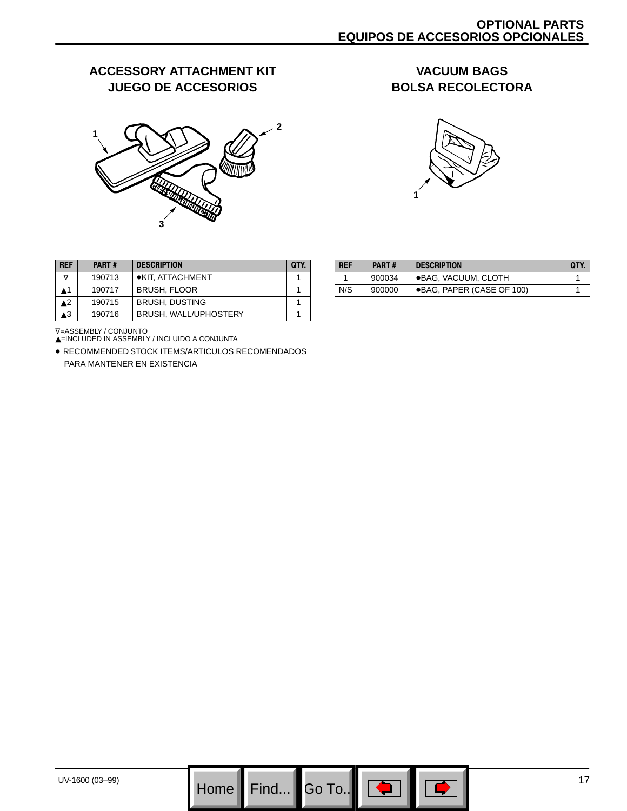## **ACCESSORY ATTACHMENT KIT JUEGO DE ACCESORIOS**



#### **VACUUM BAGS BOLSA RECOLECTORA**



| <b>REF</b> | PART#  | <b>DESCRIPTION</b>           | <b>OTY</b> |
|------------|--------|------------------------------|------------|
| ▽          | 190713 | ●KIT. ATTACHMENT             |            |
| ▲1         | 190717 | <b>BRUSH, FLOOR</b>          |            |
| 42         | 190715 | <b>BRUSH, DUSTING</b>        |            |
| 73         | 190716 | <b>BRUSH, WALL/UPHOSTERY</b> |            |

| <b>REF</b> | <b>PART#</b> | <b>DESCRIPTION</b>        | QTY. |
|------------|--------------|---------------------------|------|
|            | 900034       | ●BAG, VACUUM, CLOTH       |      |
| N/S        | 900000       | ●BAG, PAPER (CASE OF 100) |      |
|            |              |                           |      |

V=ASSEMBLY / CONJUNTO<br>▲=INCLUDED IN ASSEMBLY / INCLUIDO A CONJUNTA

 RECOMMENDED STOCK ITEMS/ARTICULOS RECOMENDADOS PARA MANTENER EN EXISTENCIA

 $\overline{\phantom{a}}$  Go To..